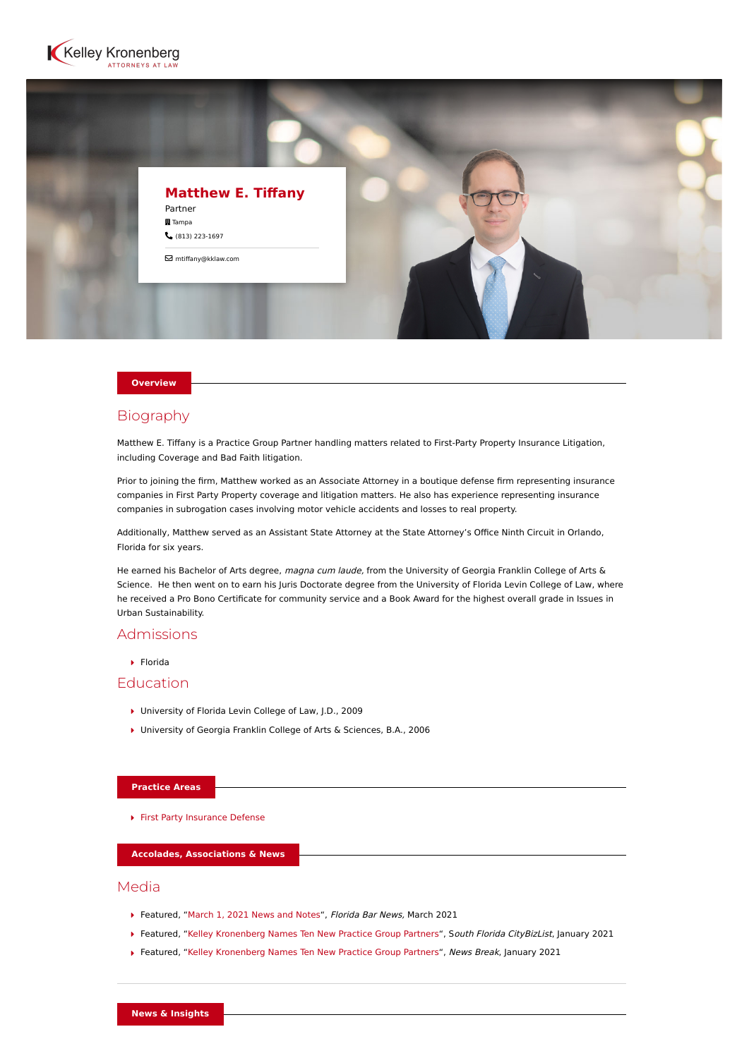



#### **Overview**

## Biography

Matthew E. Tiffany is a Practice Group Partner handling matters related to First-Party Property Insurance Litigation, including Coverage and Bad Faith litigation.

Prior to joining the firm, Matthew worked as an Associate Attorney in a boutique defense firm representing insurance companies in First Party Property coverage and litigation matters. He also has experience representing insurance companies in subrogation cases involving motor vehicle accidents and losses to real property.

Additionally, Matthew served as an Assistant State Attorney at the State Attorney's Office Ninth Circuit in Orlando, Florida for six years.

He earned his Bachelor of Arts degree, magna cum laude, from the University of Georgia Franklin College of Arts & Science. He then went on to earn his Juris Doctorate degree from the University of Florida Levin College of Law, where he received a Pro Bono Certificate for community service and a Book Award for the highest overall grade in Issues in Urban Sustainability.

### Admissions

 $\blacktriangleright$  Florida

### Education

- ▶ University of Florida Levin College of Law, J.D., 2009
- University of Georgia Franklin College of Arts & Sciences, B.A., 2006

#### **Practice Areas**

[First Party Insurance Defense](https://www.kelleykronenberg.com/our-practices/first-party-insurance-defense-coverage-bad-faith/)

#### **Accolades, Associations & News**

# Media

- ▶ Featured, ["March 1, 2021 News and Notes"](https://www.floridabar.org/the-florida-bar-news/march-1-2021-on-the-move/), Florida Bar News, March 2021
- ▶ Featured, ["Kelley Kronenberg Names Ten New Practice Group Partners](https://southflorida.citybizlist.com/article/646672/kelley-kronenberg-names-ten-new-practice-group-partners)", South Florida CityBizList, January 2021
- ▶ Featured, ["Kelley Kronenberg Names Ten New Practice Group Partners](https://www.newsbreak.com/news/2143512223293/kelley-kronenberg-names-ten-new-practice-group-partners)", News Break, January 2021